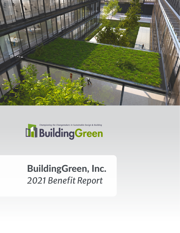



# BuildingGreen, Inc. *2021 Benefit Report*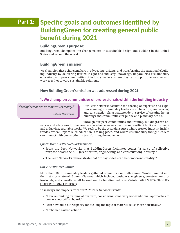# Part 1: Specific goals and outcomes identified by BuildingGreen for creating general public benefit during 2021

### BuildingGreen's purpose:

BuildingGreen champions the changemakers in sustainable design and building in the United States and around the world.

### BuildingGreen's mission:

We champion these changemakers in advocating, driving, and transforming the sustainable building industry by delivering trusted insight and industry knowledge, unparalleled sustainability education, and peer communities of industry leaders where they can support one another and work together toward sustainable solutions.

# How BuildingGreen's mission was addressed during 2021:

# 1. We champion communities of professionals within the building industry

*"Today's ideas can be tomorrow's reality."*

Our Peer Networks facilitate the sharing of expertise and experience among sustainability leaders in architecture, engineering, and construction firms nationwide in service of creating better buildings and communities for public and planetary health.

Through our peer communities and training, BuildingGreen ad-

vances and advocates for the progressive edge between a healthy and resilient built environment and a thriving, equitable world. We seek to be the essential source where trusted industry insight resides, where unparalleled education is taking place, and where sustainability thought leaders can interact with one another in transforming the movement.

#### *Quotes from our Peer Network members*

- Peer Networks

- From the Peer Networks that BuildingGreen facilitates comes "a sense of collective purpose across the AEC [architecture, engineering, and construction] industry."
- The Peer Networks demonstrate that "Today's ideas can be tomorrow's reality."

#### *Our 2021 Winter Summit*

More than 100 sustainability leaders gathered online for our sixth annual Winter Summit and the first cross-network Summit-Palooza which included designers, engineers, construction professionals, and consultants all focused on the building industry. (Winter 2021 [SUSTAINABILITY](https://docs.google.com/presentation/d/1FblPIUuK1ngnIhyPfNOgkvWw5ka5gJnkaTgbPgSdKxY/edit#slide=id.p)  [LEADERS SUMMIT REPORT](https://docs.google.com/presentation/d/1FblPIUuK1ngnIhyPfNOgkvWw5ka5gJnkaTgbPgSdKxY/edit#slide=id.p))

Takeaways and impacts from our 2021 Peer Network Events:

- "I am re-thinking training at our firm, considering some very non-traditional approaches to how we get staff on board."
- I can now build out "capacity for tackling the topic of material reuse more holistically."
- "Embodied carbon action"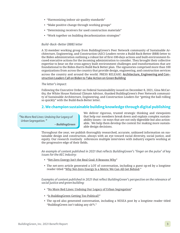- "Harmonizing indoor air quality standards"
- "Make positive change through working groups"
- "Determining receivers for used construction materials"
- "Work together on building decarbonization strategies"

#### *Build-Back-Better (BBB) letter*

A 32-member working group from BuildingGreen's Peer Network community of Sustainable Architecture, Engineering, and Construction (AEC) Leaders wrote a Build-Back-Better (BBB) letter to the Biden administration outlining a robust list of first-100-days actions and built-environment-focused executive actions for the incoming administration to consider. They brought their collective expertise to bear on the cross-agency built environment challenges and transformations that are foundational to the Biden-Harris Build Back Better plan. The signatories comprised more than 100 organizations from across the country that provide design, engineering, and construction services across the country and around the world. PRESS RELEASE: [Architecture, Engineering and Con](https://www.buildinggreen.com/blog/press-release-architecture-engineering-and-construction-leaders-call-biden-take-action-green)[struction Leaders Call on Biden to Take Action on Green Building](https://www.buildinggreen.com/blog/press-release-architecture-engineering-and-construction-leaders-call-biden-take-action-green)

#### *The letter's impact:*

Following the Executive Order on Federal Sustainability issued on December 8, 2021, Gina McCarthy, the White House National Climate Advisor, thanked BuildingGreen's Peer Network community of Sustainable Architecture, Engineering, and Construction Leaders for "getting the ball rolling so quickly" with the Build-Back-Better letter.

# 2. We champion sustainable building knowledge through digital publishing

*"No More Red Lines: Undoing Our Legacy of Urban Segregation."*

- BuildingGreen

We deliver rigorous, trusted strategic thinking and viewpoints that help our members break down and explain complex sustainability issues—in ways that are not only digestible but also actionable. We help them develop the context for making more sustainable design decisions.

Throughout the year, we publish thoroughly researched, accurate, unbiased information on sustainable design and construction, always with an eye toward racial diversity, social justice, and equity. Our research routinely references multiple interviews with industry experts working at the progressive edge of their fields.

*An example of content published in 2021 that reflects BuildingGreen's 'finger on the pulse' of key issues for the AEC industry:* 

- "[Net-Zero Energy Isn't the Real Goal: 8 Reasons Why"](https://www.buildinggreen.com/feature/net-zero-energy-isn-t-real-goal-8-reasons-why)
- The net-zero article generated a LOT of conversation, including a guest op-ed by a longtime reader titled ["Why Net-Zero Energy Is a Metric We Can All Get Behind](https://www.buildinggreen.com/op-ed/why-net-zero-energy-goal-we-can-all-get-behind)."

*Examples of content published in 2021 that reflect BuildingGreen's perspective on the relevance of social justice and green building:*

- "[No More Red Lines: Undoing Our Legacy of Urban Segregation](https://www.buildinggreen.com/feature/no-more-red-lines-undoing-our-legacy-urban-segregation)"
- "[Is BuildingGreen Getting Too Political?"](https://www.buildinggreen.com/feature/no-more-red-lines-undoing-our-legacy-urban-segregation)
- The op-ed also generated conversation, including a NESEA post by a longtime reader titled "BuildingGreen isn't taking any sh\*t."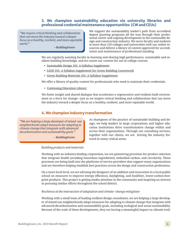# 3. We champion sustainability education via university libraries and professional credential maintenance opportunities (CW and CEUs)

*"We inspire critical thinking and collaboration that can move the industry toward a deeper focus on a healthy, resilient, and more equitable world."*

- BuildingGreen

We support the sustainability leader's path from accredited degree granting programs all the way through their professional career and ongoing development in the sustainable design and construction industry. We serve faculty and students at more than 150 colleges and universities with our online resources and deliver a library of content approved for accreditation and maintenance of professional standing.

We are regularly assisting faculty in learning and sharing high-performance, sustainable and resilient building knowledge, and we curate our content for use in college courses.

- [Sustainable Design 101: A Syllabus Supplement](https://www.buildinggreen.com/syllabus-supplement/sustainable-design-101-syllabus-supplement)
- [LEED 101: A Syllabus Supplement for Green Building Coursework](https://www.buildinggreen.com/syllabus-supplement/leed-101-syllabus-supplement-green-building-coursework)
- [Green Building Materials 101: A Syllabus Supplement](https://www.buildinggreen.com/content/green-building-materials-101-syllabus-supplement)

We offer a library of quality content for professionals who need to maintain their credentials.

• [Continuing Education Library](https://www.buildinggreen.com/continuing-education)

[We foster insight and shared dialogue that accelerates a regenerative and resilient built environ](https://www.buildinggreen.com/continuing-education)[ment as a force for change—just as we inspire critical thinking and collaboration that can move](https://www.buildinggreen.com/continuing-education) [the industry toward a deeper focus on a healthy, resilient, and more equitable world.](https://www.buildinggreen.com/continuing-education)

### 4. We champion industry transformation

*"We are helping a large developer of mixed-use neighborhoods adopt measures for adapting to climate change that integrate with advanced decarbonization and sustainability goals."*

- BuildingGreen

*Building products and materials*

As champions of the practice of sustainable building and design, we help leaders in large corporations and higher education institutions drive transformative change within and across their organizations. Through our consulting services, together with our clients, we are driving the industry forward in many critical areas:

Working with an industry-leading corporation, we are pioneering processes for product selection that integrate health (avoiding hazardous ingredients), embodied carbon, and circularity. These processes are being built into the platforms of service providers that support many organizations and are therefore helping establish best practices across the design and construction professions.

On a more local level, we are advising the designers of an addition and renovation to a local public school on measures to improve energy efficiency, daylighting, and healthier, lower-carbon-footprint products. This project is getting media attention in the community and inspiring an interest in pursuing similar efforts throughout the school district.

#### *Resilience at the intersection of adaptation and climate-change mitigation*

Working with a small team of leading resilient design consultants, we are helping a large developer of mixed-use neighborhoods adopt measures for adapting to climate change that integrate with advanced decarbonization and sustainability goals, including ecological and social sustainability. Because of the scale of these developments, they are having a meaningful impact on climate resil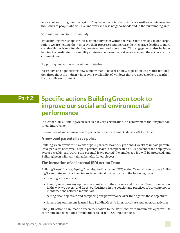ience choices throughout the region. They have the potential to improve resilience outcomes for thousands of people who will live and work in these neighborhoods and in the surrounding area.

#### *Strategic planning for sustainability*

By facilitating workshops for the sustainability team within the real estate arm of a major corporation, we are helping them improve their processes and increase their leverage, leading to more sustainable decisions for design, construction, and operations. This engagement also includes helping to coordinate sustainability strategies between the real estate arm and the corporate procurement team.

#### *Supporting innovation in the window industry*

We're advising a pioneering new window manufacturer on how to position its product for adoption throughout the industry, improving availability of windows that are needed to help decarbonize the built environment.

# Part 2: Specific actions BuildingGreen took to improve our social and environmental performance

In October 2019, BuildingGreen received B Corp certification, an achievement that inspires continual improvement.

Internal social and environmental performance improvements during 2021 include:

### A new paid parental leave policy

BuildingGreen provides 12 weeks of paid parental leave per year and 4 weeks of unpaid parental leave per year. Each week of paid parental leave is compensated at 100 percent of the employee's average weekly pay. During the parental leave period, the employee's job will be protected, and BuildingGreen will maintain all benefits for employees.

# The formation of an internal JEDI Action Team

BuildingGreen's Justice, Equity, Diversity, and Inclusion (JEDI) Action Team aims to support BuildingGreen's mission by advancing social equity at the company in the following ways:

- creating a brave space
- identifying where any oppression manifests in the strategy and mission of our organization, in the way we govern and direct our business, in the policies and practices of our company, or in interactions between individuals
- setting clear objectives and comparing our performance over time against those objectives
- integrating our lessons learned into BuildingGreen's internal culture and external activities

The JEDI Action Team made a recommendation to the staff—met with unanimous approval—to contribute budgeted funds for donations to local BIPOC organizations.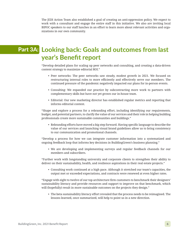The JEDI Action Team also established a goal of creating an anti-oppression policy. We expect to work with a consultant and engage the entire staff in this initiative. We also are inviting local BIPOC speakers to our staff lunches in an effort to learn more about relevant activities and organizations in our own community.

# Part 3A: Looking back: Goals and outcomes from last year's Benefit report

"Develop detailed plans for scaling up peer networks and consulting, and creating a data-driven content strategy to maximize editorial ROI."

- Peer networks: The peer networks saw steady, modest growth in 2021. We focused on restructuring internal roles to more efficiently and effectively serve our members. The continued pressure of the pandemic negatively impacted our plans for in-person events.
- Consulting: We expanded our practice by subcontracting more work to partners with complementary skills but have not yet grown our in-house team.
- Editorial: Our new marketing director has established regular metrics and reporting that informs editorial content.

"Shape and explore a process for a rebranding effort, including identifying our requirements, budget, and potential partners, to clarify the value of our services and their role in helping building professionals create more sustainable communities and buildings."

• Rebranding efforts have moved a big step forward. Having specific language to describe the value of our services and launching visual brand guidelines allow us to bring consistency to our communication and promotional channels.

"Develop a process for how we can integrate customer information into a systematized and ongoing feedback loop that informs key decisions in BuildingGreen's business planning."

• We are developing and implementing surveys and regular feedback channels for our members and subscribers.

"Further work with longstanding university and corporate clients to strengthen their ability to deliver on their sustainability, health, and resilience aspirations in their real estate projects."

• Consulting work continued at a high pace. Although it stretched our team's capacities, the output met or exceeded expectations, and contracts were renewed at even higher rates.

"Engage with eight to twelve of our top architecture firm customers to benchmark their designers' sustainability literacy and provide resources and support to improve on that benchmark, which will (hopefully) result in more sustainable outcomes on the projects they design."

• The beta sustainability literacy effort revealed that the process needs to be reimagined. The lessons learned, once summarized, will help to point us in a new direction.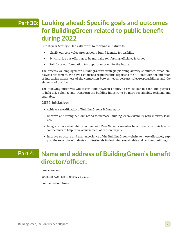# Part 3B: Looking ahead: Specific goals and outcomes for BuildingGreen related to public benefit during 2022

Our 10-year Strategic Plan calls for us to continue initiatives to:

- Clarify our core value proposition & brand identity for visibility
- Synchronize our offerings to be mutually reinforcing, efficient, & valued
- Reinforce our foundation to support our team for the future

The process we employed for BuildingGreen's strategic planning activity stimulated broad employee engagement. We have established regular status reports to the full staff with the intention of increasing awareness of the connection between each person's roles/responsibilities and the elements of the plan.

The following initiatives will foster BuildingGreen's ability to realize our mission and purpose to help drive change and transform the building industry to be more sustainable, resilient, and equitable.

#### 2022 initiatives:

- Achieve recertification of BuildingGreen's B Corp status.
- Improve and strengthen our brand to increase BuildingGreen's visibility with industry leaders.
- Integrate our sustainability content with Peer Network member benefits to raise their level of competency to help drive achievement of carbon targets.
- Improve structure and user experience of the BuildingGreen website to more effectively support the expertise of industry professionals in designing sustainable and resilient buildings.

# Part 4:

# Name and address of BuildingGreen's benefit director/officer:

Janice Warren

50 Eaton Ave., Brattleboro, VT 05301

Compensation: None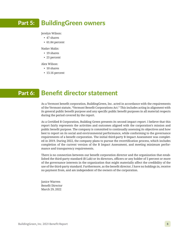#### BuildingGreen owners Part 5:

Jerelyn Wilson:

- 47 shares
- 61.84 percent

Nadav Malin:

- 19 shares
- 25 percent

Alex Wilson:

- 10 shares
- 13.16 percent

# Part 6: Benefit director statement

As a Vermont benefit corporation, BuildingGreen, Inc. acted in accordance with the requirements of the Vermont statute, "Vermont Benefit Corporations Act." This includes acting in alignment with its general public benefit purpose and any specific public benefit purposes in all material respects during the period covered by the report.

As a Certified B Corporation, Building Green presents its second impact report. I believe that this report fairly represents the activities and outcomes aligned with the corporation's mission and public benefit purpose. The company is committed to continually assessing its objectives and how best to report on its social and environmental performance, while conforming to the governance requirements of a benefit corporation. The initial third-party B Impact Assessment was completed in 2019. During 2022, the company plans to pursue the recertification process, which includes completion of the current version of the B Impact Assessment, and meeting minimum performance and transparency requirements.

There is no connection between our benefit corporation director and the organization that established the third-party standard (B Lab) or its directors, officers or any holder of 5 percent or more of the governance interests in the organization that might materially affect the credibility of the use of the third-party standard. Furthermore, as the benefit director, I have no holdings in, receive no payment from, and am independent of the owners of the corporation.

Janice Warren Benefit Director March 29, 2022